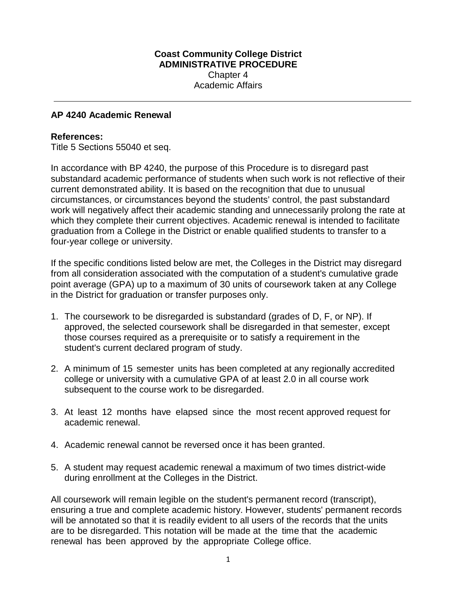## **Coast Community College District ADMINISTRATIVE PROCEDURE**  Chapter 4 Academic Affairs

## **AP 4240 Academic Renewal**

## **References:**

Title 5 Sections 55040 et seq.

In accordance with BP 4240, the purpose of this Procedure is to disregard past substandard academic performance of students when such work is not reflective of their current demonstrated ability. It is based on the recognition that due to unusual circumstances, or circumstances beyond the students' control, the past substandard work will negatively affect their academic standing and unnecessarily prolong the rate at which they complete their current objectives. Academic renewal is intended to facilitate graduation from a College in the District or enable qualified students to transfer to a four-year college or university.

If the specific conditions listed below are met, the Colleges in the District may disregard from all consideration associated with the computation of a student's cumulative grade point average (GPA) up to a maximum of 30 units of coursework taken at any College in the District for graduation or transfer purposes only.

- 1. The coursework to be disregarded is substandard (grades of D, F, or NP). If approved, the selected coursework shall be disregarded in that semester, except those courses required as a prerequisite or to satisfy a requirement in the student's current declared program of study.
- 2. A minimum of 15 semester units has been completed at any regionally accredited college or university with a cumulative GPA of at least 2.0 in all course work subsequent to the course work to be disregarded.
- 3. At least 12 months have elapsed since the most recent approved request for academic renewal.
- 4. Academic renewal cannot be reversed once it has been granted.
- 5. A student may request academic renewal a maximum of two times district-wide during enrollment at the Colleges in the District.

All coursework will remain legible on the student's permanent record (transcript), ensuring a true and complete academic history. However, students' permanent records will be annotated so that it is readily evident to all users of the records that the units are to be disregarded. This notation will be made at the time that the academic renewal has been approved by the appropriate College office.